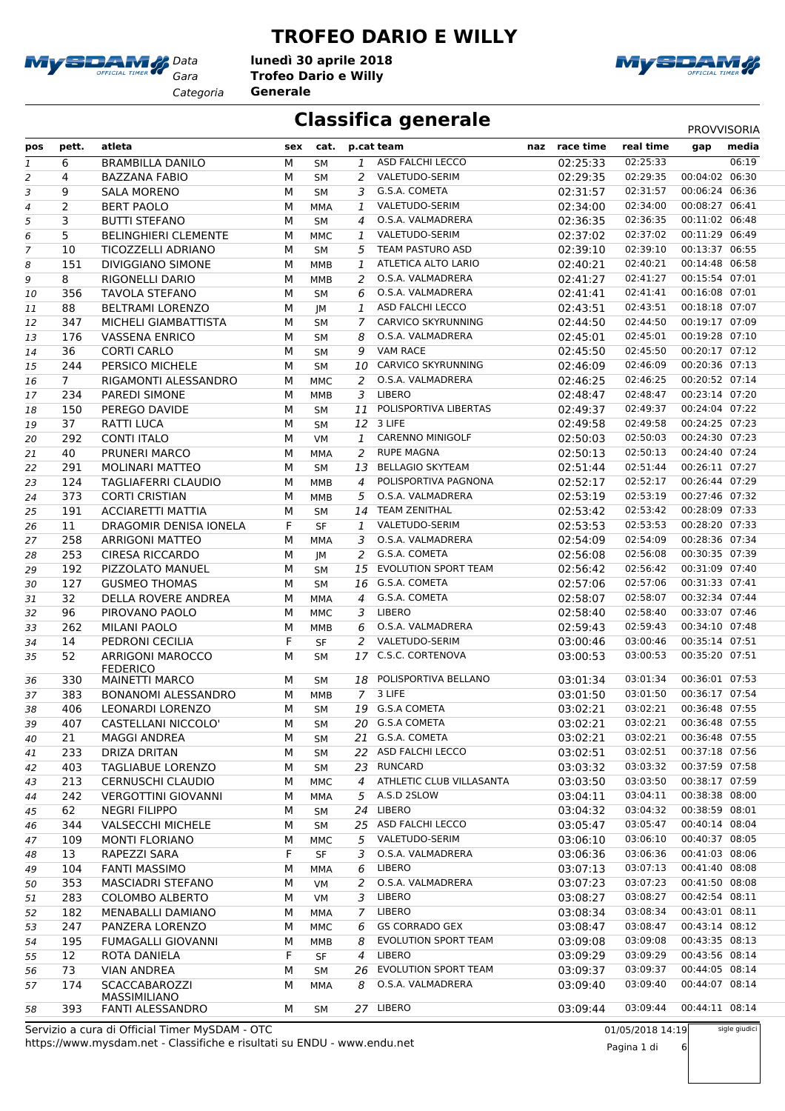

### **TROFEO DARIO E WILLY**

*Gara* **Trofeo Dario e Willy** *Categoria* **Generale lunedì 30 aprile 2018** MySDAM

### **Classifica generale** PROVVISORIA

| pos              | pett.          | atleta                               | sex | cat.       |    | p.cat team                  | naz race time | real time | gap            | media |
|------------------|----------------|--------------------------------------|-----|------------|----|-----------------------------|---------------|-----------|----------------|-------|
| $\mathbf{1}$     | 6              | <b>BRAMBILLA DANILO</b>              | М   | <b>SM</b>  | 1  | ASD FALCHI LECCO            | 02:25:33      | 02:25:33  |                | 06:19 |
| 2                | 4              | <b>BAZZANA FABIO</b>                 | М   | SM         | 2  | VALETUDO-SERIM              | 02:29:35      | 02:29:35  | 00:04:02 06:30 |       |
| 3                | 9              | <b>SALA MORENO</b>                   | М   | <b>SM</b>  | 3  | G.S.A. COMETA               | 02:31:57      | 02:31:57  | 00:06:24 06:36 |       |
| 4                | $\overline{2}$ | <b>BERT PAOLO</b>                    | М   | <b>MMA</b> | 1  | VALETUDO-SERIM              | 02:34:00      | 02:34:00  | 00:08:27 06:41 |       |
| 5                | 3              | <b>BUTTI STEFANO</b>                 | М   | <b>SM</b>  | 4  | O.S.A. VALMADRERA           | 02:36:35      | 02:36:35  | 00:11:02 06:48 |       |
| 6                | 5              | <b>BELINGHIERI CLEMENTE</b>          | М   | <b>MMC</b> | 1  | VALETUDO-SERIM              | 02:37:02      | 02:37:02  | 00:11:29 06:49 |       |
| $\boldsymbol{7}$ | 10             | TICOZZELLI ADRIANO                   | М   | <b>SM</b>  | 5  | <b>TEAM PASTURO ASD</b>     | 02:39:10      | 02:39:10  | 00:13:37 06:55 |       |
|                  |                |                                      |     |            |    | <b>ATLETICA ALTO LARIO</b>  |               | 02:40:21  | 00:14:48 06:58 |       |
| 8                | 151            | <b>DIVIGGIANO SIMONE</b>             | М   | MMB        | 1  |                             | 02:40:21      |           |                |       |
| 9                | 8              | RIGONELLI DARIO                      | М   | <b>MMB</b> | 2  | O.S.A. VALMADRERA           | 02:41:27      | 02:41:27  | 00:15:54 07:01 |       |
| 10               | 356            | <b>TAVOLA STEFANO</b>                | М   | SM         | 6  | O.S.A. VALMADRERA           | 02:41:41      | 02:41:41  | 00:16:08 07:01 |       |
| 11               | 88             | <b>BELTRAMI LORENZO</b>              | М   | JМ         | 1  | ASD FALCHI LECCO            | 02:43:51      | 02:43:51  | 00:18:18 07:07 |       |
| 12               | 347            | MICHELI GIAMBATTISTA                 | М   | <b>SM</b>  | 7  | CARVICO SKYRUNNING          | 02:44:50      | 02:44:50  | 00:19:17 07:09 |       |
| 13               | 176            | <b>VASSENA ENRICO</b>                | М   | <b>SM</b>  | 8  | O.S.A. VALMADRERA           | 02:45:01      | 02:45:01  | 00:19:28 07:10 |       |
| 14               | 36             | <b>CORTI CARLO</b>                   | М   | <b>SM</b>  | 9  | <b>VAM RACE</b>             | 02:45:50      | 02:45:50  | 00:20:17 07:12 |       |
| 15               | 244            | PERSICO MICHELE                      | М   | <b>SM</b>  | 10 | CARVICO SKYRUNNING          | 02:46:09      | 02:46:09  | 00:20:36 07:13 |       |
| 16               | $\overline{7}$ | RIGAMONTI ALESSANDRO                 | М   | MMC        | 2  | O.S.A. VALMADRERA           | 02:46:25      | 02:46:25  | 00:20:52 07:14 |       |
| 17               | 234            | PAREDI SIMONE                        | М   | MMB        | 3  | LIBERO                      | 02:48:47      | 02:48:47  | 00:23:14 07:20 |       |
| 18               | 150            | PEREGO DAVIDE                        | M   | <b>SM</b>  | 11 | POLISPORTIVA LIBERTAS       | 02:49:37      | 02:49:37  | 00:24:04 07:22 |       |
|                  | 37             | <b>RATTI LUCA</b>                    | М   |            |    | 12 3 LIFE                   | 02:49:58      | 02:49:58  | 00:24:25 07:23 |       |
| 19               |                |                                      |     | <b>SM</b>  |    | <b>CARENNO MINIGOLF</b>     |               |           |                |       |
| 20               | 292            | <b>CONTI ITALO</b>                   | M   | VM         | 1  |                             | 02:50:03      | 02:50:03  | 00:24:30 07:23 |       |
| 21               | 40             | PRUNERI MARCO                        | М   | <b>MMA</b> | 2  | <b>RUPE MAGNA</b>           | 02:50:13      | 02:50:13  | 00:24:40 07:24 |       |
| 22               | 291            | <b>MOLINARI MATTEO</b>               | М   | <b>SM</b>  | 13 | <b>BELLAGIO SKYTEAM</b>     | 02:51:44      | 02:51:44  | 00:26:11 07:27 |       |
| 23               | 124            | <b>TAGLIAFERRI CLAUDIO</b>           | М   | MMB        | 4  | POLISPORTIVA PAGNONA        | 02:52:17      | 02:52:17  | 00:26:44 07:29 |       |
| 24               | 373            | <b>CORTI CRISTIAN</b>                | M   | <b>MMB</b> | 5  | O.S.A. VALMADRERA           | 02:53:19      | 02:53:19  | 00:27:46 07:32 |       |
| 25               | 191            | <b>ACCIARETTI MATTIA</b>             | М   | <b>SM</b>  | 14 | <b>TEAM ZENITHAL</b>        | 02:53:42      | 02:53:42  | 00:28:09 07:33 |       |
| 26               | 11             | DRAGOMIR DENISA IONELA               | F   | <b>SF</b>  | 1  | VALETUDO-SERIM              | 02:53:53      | 02:53:53  | 00:28:20 07:33 |       |
| 27               | 258            | <b>ARRIGONI MATTEO</b>               | М   | <b>MMA</b> | 3  | O.S.A. VALMADRERA           | 02:54:09      | 02:54:09  | 00:28:36 07:34 |       |
| 28               | 253            | <b>CIRESA RICCARDO</b>               | М   | JМ         | 2  | G.S.A. COMETA               | 02:56:08      | 02:56:08  | 00:30:35 07:39 |       |
| 29               | 192            | PIZZOLATO MANUEL                     | М   | SM         | 15 | <b>EVOLUTION SPORT TEAM</b> | 02:56:42      | 02:56:42  | 00:31:09 07:40 |       |
| 30               | 127            | <b>GUSMEO THOMAS</b>                 | М   | <b>SM</b>  | 16 | G.S.A. COMETA               | 02:57:06      | 02:57:06  | 00:31:33 07:41 |       |
|                  |                |                                      |     |            |    | G.S.A. COMETA               |               | 02:58:07  | 00:32:34 07:44 |       |
| 31               | 32             | DELLA ROVERE ANDREA                  | М   | MMA        | 4  |                             | 02:58:07      |           |                |       |
| 32               | 96             | PIROVANO PAOLO                       | М   | MMC        | 3  | LIBERO                      | 02:58:40      | 02:58:40  | 00:33:07 07:46 |       |
| 33               | 262            | <b>MILANI PAOLO</b>                  | М   | MMB        | 6  | O.S.A. VALMADRERA           | 02:59:43      | 02:59:43  | 00:34:10 07:48 |       |
| 34               | 14             | PEDRONI CECILIA                      | F   | SF         | 2  | VALETUDO-SERIM              | 03:00:46      | 03:00:46  | 00:35:14 07:51 |       |
| 35               | 52             | <b>ARRIGONI MAROCCO</b>              | М   | SM         |    | 17 C.S.C. CORTENOVA         | 03:00:53      | 03:00:53  | 00:35:20 07:51 |       |
|                  |                | <b>FEDERICO</b>                      |     |            |    |                             |               |           |                |       |
| 36               | 330            | <b>MAINETTI MARCO</b>                | М   | SM         | 18 | POLISPORTIVA BELLANO        | 03:01:34      | 03:01:34  | 00:36:01 07:53 |       |
| 37               | 383            | <b>BONANOMI ALESSANDRO</b>           | М   | <b>MMB</b> |    | 7 3 LIFE                    | 03:01:50      | 03:01:50  | 00:36:17 07:54 |       |
| 38               | 406            | <b>LEONARDI LORENZO</b>              | M   | <b>SM</b>  |    | 19 G.S.A COMETA             | 03:02:21      | 03:02:21  | 00:36:48 07:55 |       |
| 39               | 407            | CASTELLANI NICCOLO'                  | М   | SM         |    | 20 G.S.A COMETA             | 03:02:21      | 03:02:21  | 00:36:48 07:55 |       |
| 40               | 21             | <b>MAGGI ANDREA</b>                  | М   | SΜ         |    | 21 G.S.A. COMETA            | 03:02:21      | 03:02:21  | 00:36:48 07:55 |       |
| 41               | 233            | DRIZA DRITAN                         | М   | SM         |    | 22 ASD FALCHI LECCO         | 03:02:51      | 03:02:51  | 00:37:18 07:56 |       |
| 42               | 403            | <b>TAGLIABUE LORENZO</b>             | М   | SM         |    | 23 RUNCARD                  | 03:03:32      | 03:03:32  | 00:37:59 07:58 |       |
| 43               | 213            | <b>CERNUSCHI CLAUDIO</b>             | М   | MMC        | 4  | ATHLETIC CLUB VILLASANTA    | 03:03:50      | 03:03:50  | 00:38:17 07:59 |       |
| 44               | 242            | <b>VERGOTTINI GIOVANNI</b>           | М   | MMA        | 5  | A.S.D 2SLOW                 | 03:04:11      | 03:04:11  | 00:38:38 08:00 |       |
| 45               | 62             | <b>NEGRI FILIPPO</b>                 | М   | SM         | 24 | LIBERO                      | 03:04:32      | 03:04:32  | 00:38:59 08:01 |       |
|                  | 344            | <b>VALSECCHI MICHELE</b>             |     |            |    | 25 ASD FALCHI LECCO         | 03:05:47      | 03:05:47  | 00:40:14 08:04 |       |
| 46               |                |                                      | М   | SM         |    |                             |               |           |                |       |
| 47               | 109            | <b>MONTI FLORIANO</b>                | М   | MMC        | 5  | VALETUDO-SERIM              | 03:06:10      | 03:06:10  | 00:40:37 08:05 |       |
| 48               | 13             | RAPEZZI SARA                         | F   | SF         | 3. | O.S.A. VALMADRERA           | 03:06:36      | 03:06:36  | 00:41:03 08:06 |       |
| 49               | 104            | <b>FANTI MASSIMO</b>                 | М   | MMA        | 6  | LIBERO                      | 03:07:13      | 03:07:13  | 00:41:40 08:08 |       |
| 50               | 353            | <b>MASCIADRI STEFANO</b>             | М   | VM         | 2  | O.S.A. VALMADRERA           | 03:07:23      | 03:07:23  | 00:41:50 08:08 |       |
| 51               | 283            | <b>COLOMBO ALBERTO</b>               | М   | VM         | 3  | LIBERO                      | 03:08:27      | 03:08:27  | 00:42:54 08:11 |       |
| 52               | 182            | MENABALLI DAMIANO                    | М   | MMA        | 7  | LIBERO                      | 03:08:34      | 03:08:34  | 00:43:01 08:11 |       |
| 53               | 247            | PANZERA LORENZO                      | М   | MMC        | 6  | <b>GS CORRADO GEX</b>       | 03:08:47      | 03:08:47  | 00:43:14 08:12 |       |
| 54               | 195            | <b>FUMAGALLI GIOVANNI</b>            | М   | MMB        | 8  | EVOLUTION SPORT TEAM        | 03:09:08      | 03:09:08  | 00:43:35 08:13 |       |
| 55               | 12             | ROTA DANIELA                         | F   | <b>SF</b>  | 4  | LIBERO                      | 03:09:29      | 03:09:29  | 00:43:56 08:14 |       |
|                  | 73             | <b>VIAN ANDREA</b>                   | М   | SM         | 26 | <b>EVOLUTION SPORT TEAM</b> | 03:09:37      | 03:09:37  | 00:44:05 08:14 |       |
| 56               |                |                                      |     |            |    |                             |               |           | 00:44:07 08:14 |       |
| 57               | 174            | <b>SCACCABAROZZI</b><br>MASSIMILIANO | м   | MMA        | 8  | O.S.A. VALMADRERA           | 03:09:40      | 03:09:40  |                |       |
| 58               | 393            | FANTI ALESSANDRO                     | М   | SM         |    | 27 LIBERO                   | 03:09:44      | 03:09:44  | 00:44:11 08:14 |       |
|                  |                |                                      |     |            |    |                             |               |           |                |       |



Pagina 1 di 6

sigle giudici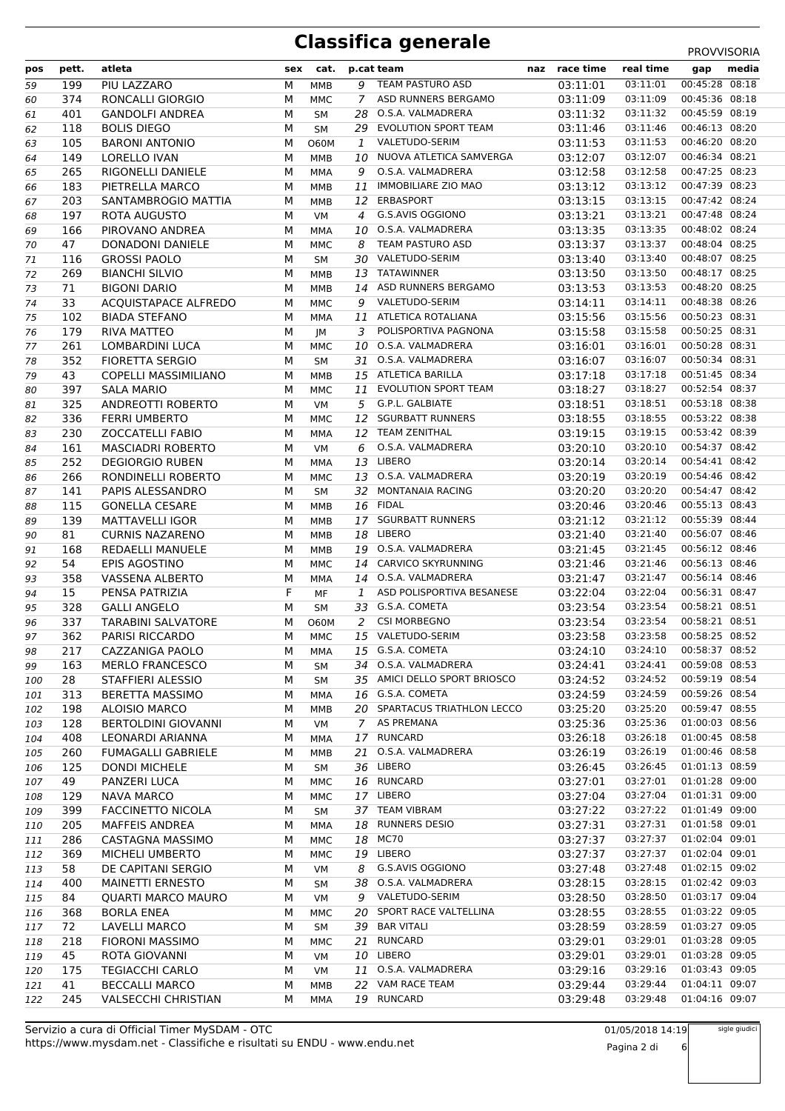| pos | pett. | atleta                      | sex | cat.        |                | p.cat team                      | naz | race time | real time                           | gap            | media |
|-----|-------|-----------------------------|-----|-------------|----------------|---------------------------------|-----|-----------|-------------------------------------|----------------|-------|
| 59  | 199   | PIU LAZZARO                 | М   | MMB         | 9              | TEAM PASTURO ASD                |     | 03:11:01  | 03:11:01                            | 00:45:28 08:18 |       |
| 60  | 374   | RONCALLI GIORGIO            | М   | MMC         | 7              | ASD RUNNERS BERGAMO             |     | 03:11:09  | 03:11:09                            | 00:45:36 08:18 |       |
| 61  | 401   | <b>GANDOLFI ANDREA</b>      | М   | SM          | 28             | O.S.A. VALMADRERA               |     | 03:11:32  | 03:11:32                            | 00:45:59 08:19 |       |
| 62  | 118   | <b>BOLIS DIEGO</b>          | М   | <b>SM</b>   | 29             | EVOLUTION SPORT TEAM            |     | 03:11:46  | 03:11:46                            | 00:46:13 08:20 |       |
| 63  | 105   | <b>BARONI ANTONIO</b>       | М   | <b>O60M</b> | 1              | VALETUDO-SERIM                  |     | 03:11:53  | 03:11:53                            | 00:46:20 08:20 |       |
| 64  | 149   | <b>LORELLO IVAN</b>         | М   | MMB         | 10             | NUOVA ATLETICA SAMVERGA         |     | 03:12:07  | 03:12:07                            | 00:46:34 08:21 |       |
| 65  | 265   | RIGONELLI DANIELE           | М   | MMA         | 9              | O.S.A. VALMADRERA               |     | 03:12:58  | 03:12:58                            | 00:47:25 08:23 |       |
| 66  | 183   | PIETRELLA MARCO             | М   | MMB         | 11             | <b>IMMOBILIARE ZIO MAO</b>      |     | 03:13:12  | 03:13:12                            | 00:47:39 08:23 |       |
| 67  | 203   | SANTAMBROGIO MATTIA         | М   | MMB         | 12             | ERBASPORT                       |     | 03:13:15  | 03:13:15                            | 00:47:42 08:24 |       |
| 68  | 197   | ROTA AUGUSTO                | М   | VM          | $\overline{4}$ | G.S.AVIS OGGIONO                |     | 03:13:21  | 03:13:21                            | 00:47:48 08:24 |       |
| 69  | 166   | PIROVANO ANDREA             | М   | MMA         | 10             | O.S.A. VALMADRERA               |     | 03:13:35  | 03:13:35                            | 00:48:02 08:24 |       |
|     |       | <b>DONADONI DANIELE</b>     |     |             |                | TEAM PASTURO ASD                |     |           | 03:13:37                            | 00:48:04 08:25 |       |
| 70  | 47    |                             | М   | MMC         | 8              | VALETUDO-SERIM                  |     | 03:13:37  | 03:13:40                            | 00:48:07 08:25 |       |
| 71  | 116   | <b>GROSSI PAOLO</b>         | М   | SM          | 30             |                                 |     | 03:13:40  |                                     |                |       |
| 72  | 269   | <b>BIANCHI SILVIO</b>       | М   | MMB         | 13             | TATAWINNER                      |     | 03:13:50  | 03:13:50                            | 00:48:17 08:25 |       |
| 73  | 71    | <b>BIGONI DARIO</b>         | М   | MMB         | 14             | ASD RUNNERS BERGAMO             |     | 03:13:53  | 03:13:53                            | 00:48:20 08:25 |       |
| 74  | 33    | <b>ACQUISTAPACE ALFREDO</b> | М   | MMC         | 9              | VALETUDO-SERIM                  |     | 03:14:11  | 03:14:11                            | 00:48:38 08:26 |       |
| 75  | 102   | <b>BIADA STEFANO</b>        | М   | <b>MMA</b>  | 11             | ATLETICA ROTALIANA              |     | 03:15:56  | 03:15:56                            | 00:50:23 08:31 |       |
| 76  | 179   | <b>RIVA MATTEO</b>          | М   | JM          | 3              | POLISPORTIVA PAGNONA            |     | 03:15:58  | 03:15:58                            | 00:50:25 08:31 |       |
| 77  | 261   | LOMBARDINI LUCA             | М   | <b>MMC</b>  | 10             | O.S.A. VALMADRERA               |     | 03:16:01  | 03:16:01                            | 00:50:28 08:31 |       |
| 78  | 352   | <b>FIORETTA SERGIO</b>      | М   | <b>SM</b>   | 31             | O.S.A. VALMADRERA               |     | 03:16:07  | 03:16:07                            | 00:50:34 08:31 |       |
| 79  | 43    | <b>COPELLI MASSIMILIANO</b> | М   | MMB         | 15             | ATLETICA BARILLA                |     | 03:17:18  | 03:17:18                            | 00:51:45 08:34 |       |
| 80  | 397   | <b>SALA MARIO</b>           | М   | MMC         | 11             | <b>EVOLUTION SPORT TEAM</b>     |     | 03:18:27  | 03:18:27                            | 00:52:54 08:37 |       |
| 81  | 325   | ANDREOTTI ROBERTO           | М   | VM          | 5              | G.P.L. GALBIATE                 |     | 03:18:51  | 03:18:51                            | 00:53:18 08:38 |       |
| 82  | 336   | <b>FERRI UMBERTO</b>        | М   | MMC         | 12             | <b>SGURBATT RUNNERS</b>         |     | 03:18:55  | 03:18:55                            | 00:53:22 08:38 |       |
| 83  | 230   | <b>ZOCCATELLI FABIO</b>     | М   | MMA         |                | 12 TEAM ZENITHAL                |     | 03:19:15  | 03:19:15                            | 00:53:42 08:39 |       |
| 84  | 161   | <b>MASCIADRI ROBERTO</b>    | М   | VM          | 6              | O.S.A. VALMADRERA               |     | 03:20:10  | 03:20:10                            | 00:54:37 08:42 |       |
| 85  | 252   | <b>DEGIORGIO RUBEN</b>      | М   | MMA         | 13             | LIBERO                          |     | 03:20:14  | 03:20:14                            | 00:54:41 08:42 |       |
| 86  | 266   | RONDINELLI ROBERTO          | М   | MMC         |                | 13 O.S.A. VALMADRERA            |     | 03:20:19  | 03:20:19                            | 00:54:46 08:42 |       |
| 87  | 141   | PAPIS ALESSANDRO            | М   | <b>SM</b>   | 32             | MONTANAIA RACING                |     | 03:20:20  | 03:20:20                            | 00:54:47 08:42 |       |
| 88  | 115   | <b>GONELLA CESARE</b>       | М   | MMB         | 16             | FIDAL                           |     | 03:20:46  | 03:20:46                            | 00:55:13 08:43 |       |
| 89  | 139   | <b>MATTAVELLI IGOR</b>      | М   | MMB         |                | 17 SGURBATT RUNNERS             |     | 03:21:12  | 03:21:12                            | 00:55:39 08:44 |       |
| 90  | 81    | <b>CURNIS NAZARENO</b>      | М   | MMB         | 18             | LIBERO                          |     | 03:21:40  | 03:21:40                            | 00:56:07 08:46 |       |
| 91  | 168   | REDAELLI MANUELE            | М   | MMB         | 19             | O.S.A. VALMADRERA               |     | 03:21:45  | 03:21:45                            | 00:56:12 08:46 |       |
| 92  | 54    | EPIS AGOSTINO               | М   | MMC         | 14             | CARVICO SKYRUNNING              |     | 03:21:46  | 03:21:46                            | 00:56:13 08:46 |       |
| 93  | 358   | VASSENA ALBERTO             | М   | <b>MMA</b>  | 14             | O.S.A. VALMADRERA               |     | 03:21:47  | 03:21:47                            | 00:56:14 08:46 |       |
| 94  | 15    | PENSA PATRIZIA              | F   | MF          | 1              | ASD POLISPORTIVA BESANESE       |     | 03:22:04  | 03:22:04                            | 00:56:31 08:47 |       |
| 95  | 328   | <b>GALLI ANGELO</b>         | М   | SM          |                | 33 G.S.A. COMETA                |     | 03:23:54  | 03:23:54                            | 00:58:21 08:51 |       |
| 96  | 337   | <b>TARABINI SALVATORE</b>   | М   | <b>O60M</b> | 2              | <b>CSI MORBEGNO</b>             |     | 03:23:54  | 03:23:54                            | 00:58:21 08:51 |       |
| 97  | 362   | <b>PARISI RICCARDO</b>      | М   | <b>MMC</b>  |                | 15 VALETUDO-SERIM               |     | 03:23:58  | 03:23:58                            | 00:58:25 08:52 |       |
| 98  |       | 217 CAZZANIGA PAOLO         | M   | MMA         |                | 15 G.S.A. COMETA                |     |           | 03:24:10  03:24:10  00:58:37  08:52 |                |       |
|     | 163   | <b>MERLO FRANCESCO</b>      | М   | SM          |                | 34 O.S.A. VALMADRERA            |     | 03:24:41  | 03:24:41                            | 00:59:08 08:53 |       |
| 99  | 28    | STAFFIERI ALESSIO           |     |             |                | 35 AMICI DELLO SPORT BRIOSCO    |     | 03:24:52  | 03:24:52                            | 00:59:19 08:54 |       |
| 100 |       |                             | М   | SM          |                | 16 G.S.A. COMETA                |     |           | 03:24:59                            | 00:59:26 08:54 |       |
| 101 | 313   | <b>BERETTA MASSIMO</b>      | М   | MMA         |                | 20 SPARTACUS TRIATHLON LECCO    |     | 03:24:59  | 03:25:20                            | 00:59:47 08:55 |       |
| 102 | 198   | <b>ALOISIO MARCO</b>        | М   | MMB         |                |                                 |     | 03:25:20  | 03:25:36                            | 01:00:03 08:56 |       |
| 103 | 128   | <b>BERTOLDINI GIOVANNI</b>  | М   | VM          | 7              | AS PREMANA                      |     | 03:25:36  |                                     |                |       |
| 104 | 408   | LEONARDI ARIANNA            | М   | MMA         |                | 17 RUNCARD<br>O.S.A. VALMADRERA |     | 03:26:18  | 03:26:18                            | 01:00:45 08:58 |       |
| 105 | 260   | <b>FUMAGALLI GABRIELE</b>   | М   | MMB         | 21             |                                 |     | 03:26:19  | 03:26:19                            | 01:00:46 08:58 |       |
| 106 | 125   | <b>DONDI MICHELE</b>        | М   | SM          | 36             | LIBERO                          |     | 03:26:45  | 03:26:45                            | 01:01:13 08:59 |       |
| 107 | 49    | PANZERI LUCA                | М   | MMC         |                | 16 RUNCARD                      |     | 03:27:01  | 03:27:01                            | 01:01:28 09:00 |       |
| 108 | 129   | NAVA MARCO                  | М   | MMC         | 17             | LIBERO                          |     | 03:27:04  | 03:27:04                            | 01:01:31 09:00 |       |
| 109 | 399   | <b>FACCINETTO NICOLA</b>    | М   | SM          |                | 37 TEAM VIBRAM                  |     | 03:27:22  | 03:27:22                            | 01:01:49 09:00 |       |
| 110 | 205   | MAFFEIS ANDREA              | М   | MMA         | 18             | <b>RUNNERS DESIO</b>            |     | 03:27:31  | 03:27:31                            | 01:01:58 09:01 |       |
| 111 | 286   | CASTAGNA MASSIMO            | М   | MMC         | 18             | <b>MC70</b>                     |     | 03:27:37  | 03:27:37                            | 01:02:04 09:01 |       |
| 112 | 369   | MICHELI UMBERTO             | М   | ММС         | 19             | LIBERO                          |     | 03:27:37  | 03:27:37                            | 01:02:04 09:01 |       |
| 113 | 58    | DE CAPITANI SERGIO          | М   | VM          | 8              | G.S.AVIS OGGIONO                |     | 03:27:48  | 03:27:48                            | 01:02:15 09:02 |       |
| 114 | 400   | <b>MAINETTI ERNESTO</b>     | М   | SM          | 38             | O.S.A. VALMADRERA               |     | 03:28:15  | 03:28:15                            | 01:02:42 09:03 |       |
| 115 | 84    | <b>QUARTI MARCO MAURO</b>   | М   | VM          | 9              | VALETUDO-SERIM                  |     | 03:28:50  | 03:28:50                            | 01:03:17 09:04 |       |
| 116 | 368   | <b>BORLA ENEA</b>           | М   | MMC         | 20             | SPORT RACE VALTELLINA           |     | 03:28:55  | 03:28:55                            | 01:03:22 09:05 |       |
| 117 | 72    | LAVELLI MARCO               | М   | SM          | 39             | <b>BAR VITALI</b>               |     | 03:28:59  | 03:28:59                            | 01:03:27 09:05 |       |
| 118 | 218   | FIORONI MASSIMO             | М   | MMC         | 21             | RUNCARD                         |     | 03:29:01  | 03:29:01                            | 01:03:28 09:05 |       |
| 119 | 45    | ROTA GIOVANNI               | М   | VM          | 10             | LIBERO                          |     | 03:29:01  | 03:29:01                            | 01:03:28 09:05 |       |
| 120 | 175   | TEGIACCHI CARLO             | М   | VM          | 11             | O.S.A. VALMADRERA               |     | 03:29:16  | 03:29:16                            | 01:03:43 09:05 |       |
| 121 | 41    | <b>BECCALLI MARCO</b>       | М   | MMB         |                | 22 VAM RACE TEAM                |     | 03:29:44  | 03:29:44                            | 01:04:11 09:07 |       |
| 122 | 245   | <b>VALSECCHI CHRISTIAN</b>  | М   | MMA         |                | 19 RUNCARD                      |     | 03:29:48  | 03:29:48                            | 01:04:16 09:07 |       |

sigle giudici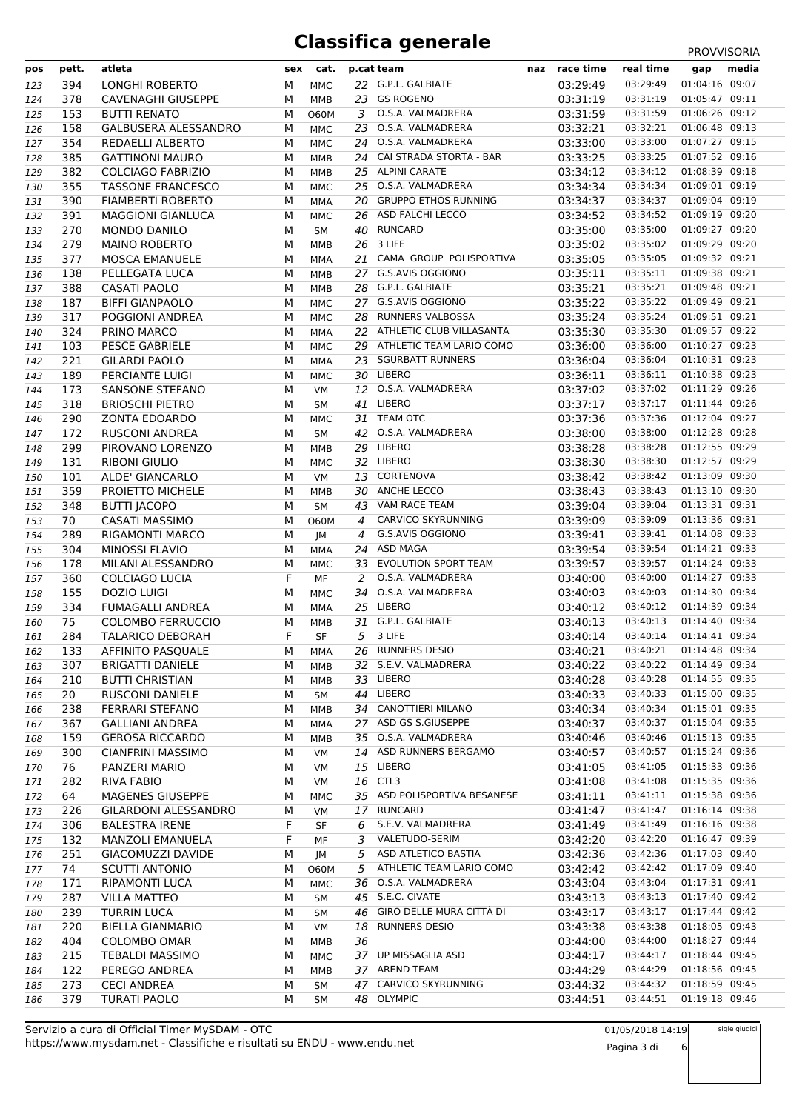| pos | pett. | atleta                      | sex | cat.        |    | p.cat team                  | naz | race time                           | real time | gap            | media |
|-----|-------|-----------------------------|-----|-------------|----|-----------------------------|-----|-------------------------------------|-----------|----------------|-------|
| 123 | 394   | <b>LONGHI ROBERTO</b>       | М   | <b>MMC</b>  |    | 22 G.P.L. GALBIATE          |     | 03:29:49                            | 03:29:49  | 01:04:16 09:07 |       |
| 124 | 378   | <b>CAVENAGHI GIUSEPPE</b>   | М   | MMB         | 23 | <b>GS ROGENO</b>            |     | 03:31:19                            | 03:31:19  | 01:05:47 09:11 |       |
| 125 | 153   | <b>BUTTI RENATO</b>         | М   | <b>O60M</b> | 3  | O.S.A. VALMADRERA           |     | 03:31:59                            | 03:31:59  | 01:06:26 09:12 |       |
| 126 | 158   | <b>GALBUSERA ALESSANDRO</b> | М   | MMC         | 23 | O.S.A. VALMADRERA           |     | 03:32:21                            | 03:32:21  | 01:06:48 09:13 |       |
| 127 | 354   | <b>REDAELLI ALBERTO</b>     | М   | <b>MMC</b>  |    | 24 O.S.A. VALMADRERA        |     | 03:33:00                            | 03:33:00  | 01:07:27 09:15 |       |
| 128 | 385   | <b>GATTINONI MAURO</b>      | M   | MMB         | 24 | CAI STRADA STORTA - BAR     |     | 03:33:25                            | 03:33:25  | 01:07:52 09:16 |       |
| 129 | 382   | <b>COLCIAGO FABRIZIO</b>    | М   | MMB         | 25 | <b>ALPINI CARATE</b>        |     | 03:34:12                            | 03:34:12  | 01:08:39 09:18 |       |
| 130 | 355   | <b>TASSONE FRANCESCO</b>    | М   | <b>MMC</b>  | 25 | O.S.A. VALMADRERA           |     | 03:34:34                            | 03:34:34  | 01:09:01 09:19 |       |
| 131 | 390   | <b>FIAMBERTI ROBERTO</b>    | М   | MMA         | 20 | <b>GRUPPO ETHOS RUNNING</b> |     | 03:34:37                            | 03:34:37  | 01:09:04 09:19 |       |
| 132 | 391   | <b>MAGGIONI GIANLUCA</b>    | М   | <b>MMC</b>  | 26 | ASD FALCHI LECCO            |     | 03:34:52                            | 03:34:52  | 01:09:19 09:20 |       |
| 133 | 270   | <b>MONDO DANILO</b>         | M   | <b>SM</b>   | 40 | <b>RUNCARD</b>              |     | 03:35:00                            | 03:35:00  | 01:09:27 09:20 |       |
| 134 | 279   | <b>MAINO ROBERTO</b>        | М   | MMB         | 26 | 3 LIFE                      |     | 03:35:02                            | 03:35:02  | 01:09:29 09:20 |       |
| 135 | 377   | <b>MOSCA EMANUELE</b>       | М   | MMA         | 21 | CAMA GROUP POLISPORTIVA     |     | 03:35:05                            | 03:35:05  | 01:09:32 09:21 |       |
| 136 | 138   | PELLEGATA LUCA              | М   | MMB         |    | 27 G.S.AVIS OGGIONO         |     | 03:35:11                            | 03:35:11  | 01:09:38 09:21 |       |
| 137 | 388   | <b>CASATI PAOLO</b>         | М   | MMB         | 28 | G.P.L. GALBIATE             |     | 03:35:21                            | 03:35:21  | 01:09:48 09:21 |       |
| 138 | 187   | <b>BIFFI GIANPAOLO</b>      | М   | MMC         |    | 27 G.S.AVIS OGGIONO         |     | 03:35:22                            | 03:35:22  | 01:09:49 09:21 |       |
| 139 | 317   | POGGIONI ANDREA             | М   | <b>MMC</b>  | 28 | <b>RUNNERS VALBOSSA</b>     |     | 03:35:24                            | 03:35:24  | 01:09:51 09:21 |       |
| 140 | 324   | PRINO MARCO                 | M   | MMA         |    | 22 ATHLETIC CLUB VILLASANTA |     | 03:35:30                            | 03:35:30  | 01:09:57 09:22 |       |
| 141 | 103   | <b>PESCE GABRIELE</b>       | М   | MMC         | 29 | ATHLETIC TEAM LARIO COMO    |     | 03:36:00                            | 03:36:00  | 01:10:27 09:23 |       |
| 142 | 221   | <b>GILARDI PAOLO</b>        | М   | MMA         | 23 | <b>SGURBATT RUNNERS</b>     |     | 03:36:04                            | 03:36:04  | 01:10:31 09:23 |       |
| 143 | 189   | PERCIANTE LUIGI             | M   | MMC         |    | 30 LIBERO                   |     | 03:36:11                            | 03:36:11  | 01:10:38 09:23 |       |
|     | 173   | SANSONE STEFANO             | М   | VM          |    | 12 O.S.A. VALMADRERA        |     | 03:37:02                            | 03:37:02  | 01:11:29 09:26 |       |
| 144 | 318   | <b>BRIOSCHI PIETRO</b>      | M   |             | 41 | LIBERO                      |     | 03:37:17                            | 03:37:17  | 01:11:44 09:26 |       |
| 145 | 290   | <b>ZONTA EDOARDO</b>        |     | <b>SM</b>   | 31 | <b>TEAM OTC</b>             |     | 03:37:36                            | 03:37:36  | 01:12:04 09:27 |       |
| 146 | 172   |                             | М   | MMC         |    | 42 O.S.A. VALMADRERA        |     | 03:38:00                            | 03:38:00  | 01:12:28 09:28 |       |
| 147 |       | <b>RUSCONI ANDREA</b>       | М   | <b>SM</b>   |    | LIBERO                      |     | 03:38:28                            | 03:38:28  | 01:12:55 09:29 |       |
| 148 | 299   | PIROVANO LORENZO            | М   | <b>MMB</b>  | 29 |                             |     |                                     |           | 01:12:57 09:29 |       |
| 149 | 131   | <b>RIBONI GIULIO</b>        | М   | <b>MMC</b>  | 32 | LIBERO                      |     | 03:38:30                            | 03:38:30  |                |       |
| 150 | 101   | ALDE' GIANCARLO             | М   | VM          | 13 | CORTENOVA                   |     | 03:38:42                            | 03:38:42  | 01:13:09 09:30 |       |
| 151 | 359   | PROIETTO MICHELE            | М   | <b>MMB</b>  | 30 | ANCHE LECCO                 |     | 03:38:43                            | 03:38:43  | 01:13:10 09:30 |       |
| 152 | 348   | <b>BUTTI JACOPO</b>         | M   | <b>SM</b>   | 43 | VAM RACE TEAM               |     | 03:39:04                            | 03:39:04  | 01:13:31 09:31 |       |
| 153 | 70    | <b>CASATI MASSIMO</b>       | М   | <b>O60M</b> | 4  | CARVICO SKYRUNNING          |     | 03:39:09                            | 03:39:09  | 01:13:36 09:31 |       |
| 154 | 289   | <b>RIGAMONTI MARCO</b>      | М   | JM          | 4  | G.S.AVIS OGGIONO            |     | 03:39:41                            | 03:39:41  | 01:14:08 09:33 |       |
| 155 | 304   | MINOSSI FLAVIO              | М   | MMA         | 24 | ASD MAGA                    |     | 03:39:54                            | 03:39:54  | 01:14:21 09:33 |       |
| 156 | 178   | MILANI ALESSANDRO           | М   | <b>MMC</b>  | 33 | <b>EVOLUTION SPORT TEAM</b> |     | 03:39:57                            | 03:39:57  | 01:14:24 09:33 |       |
| 157 | 360   | COLCIAGO LUCIA              | F   | <b>MF</b>   | 2  | O.S.A. VALMADRERA           |     | 03:40:00                            | 03:40:00  | 01:14:27 09:33 |       |
| 158 | 155   | <b>DOZIO LUIGI</b>          | M   | MMC         | 34 | O.S.A. VALMADRERA           |     | 03:40:03                            | 03:40:03  | 01:14:30 09:34 |       |
| 159 | 334   | FUMAGALLI ANDREA            | М   | MMA         |    | 25 LIBERO                   |     | 03:40:12                            | 03:40:12  | 01:14:39 09:34 |       |
| 160 | 75    | <b>COLOMBO FERRUCCIO</b>    | м   | MMB         |    | 31 G.P.L. GALBIATE          |     | 03:40:13                            | 03:40:13  | 01:14:40 09:34 |       |
| 161 | 284   | <b>TALARICO DEBORAH</b>     | F   | SF          |    | 5 3 LIFE                    |     | 03:40:14                            | 03:40:14  | 01:14:41 09:34 |       |
| 162 |       | 133 AFFINITO PASQUALE       |     | M MMA       |    | 26 RUNNERS DESIO            |     | 03:40:21  03:40:21  01:14:48  09:34 |           |                |       |
| 163 | 307   | <b>BRIGATTI DANIELE</b>     | М   | MMB         |    | 32 S.E.V. VALMADRERA        |     | 03:40:22                            | 03:40:22  | 01:14:49 09:34 |       |
| 164 | 210   | <b>BUTTI CHRISTIAN</b>      | М   | MMB         |    | 33 LIBERO                   |     | 03:40:28                            | 03:40:28  | 01:14:55 09:35 |       |
| 165 | 20    | RUSCONI DANIELE             | М   | SM          |    | 44 LIBERO                   |     | 03:40:33                            | 03:40:33  | 01:15:00 09:35 |       |
| 166 | 238   | <b>FERRARI STEFANO</b>      | М   | MMB         | 34 | CANOTTIERI MILANO           |     | 03:40:34                            | 03:40:34  | 01:15:01 09:35 |       |
| 167 | 367   | <b>GALLIANI ANDREA</b>      | М   | MMA         |    | 27 ASD GS S.GIUSEPPE        |     | 03:40:37                            | 03:40:37  | 01:15:04 09:35 |       |
| 168 | 159   | <b>GEROSA RICCARDO</b>      | м   | MMB         |    | 35 O.S.A. VALMADRERA        |     | 03:40:46                            | 03:40:46  | 01:15:13 09:35 |       |
| 169 | 300   | <b>CIANFRINI MASSIMO</b>    | М   | VM          | 14 | ASD RUNNERS BERGAMO         |     | 03:40:57                            | 03:40:57  | 01:15:24 09:36 |       |
| 170 | 76    | PANZERI MARIO               | М   | VM          | 15 | LIBERO                      |     | 03:41:05                            | 03:41:05  | 01:15:33 09:36 |       |
| 171 | 282   | <b>RIVA FABIO</b>           | М   | VM          |    | 16 CTL3                     |     | 03:41:08                            | 03:41:08  | 01:15:35 09:36 |       |
| 172 | 64    | <b>MAGENES GIUSEPPE</b>     | М   | MMC         | 35 | ASD POLISPORTIVA BESANESE   |     | 03:41:11                            | 03:41:11  | 01:15:38 09:36 |       |
| 173 | 226   | GILARDONI ALESSANDRO        | М   | VM          |    | 17 RUNCARD                  |     | 03:41:47                            | 03:41:47  | 01:16:14 09:38 |       |
| 174 | 306   | <b>BALESTRA IRENE</b>       | F   | SF          | 6  | S.E.V. VALMADRERA           |     | 03:41:49                            | 03:41:49  | 01:16:16 09:38 |       |
| 175 | 132   | <b>MANZOLI EMANUELA</b>     | F   | МF          | 3  | VALETUDO-SERIM              |     | 03:42:20                            | 03:42:20  | 01:16:47 09:39 |       |
| 176 | 251   | GIACOMUZZI DAVIDE           | М   | JM          | 5  | ASD ATLETICO BASTIA         |     | 03:42:36                            | 03:42:36  | 01:17:03 09:40 |       |
| 177 | 74    | <b>SCUTTI ANTONIO</b>       | М   | 060M        | 5  | ATHLETIC TEAM LARIO COMO    |     | 03:42:42                            | 03:42:42  | 01:17:09 09:40 |       |
| 178 | 171   | RIPAMONTI LUCA              | М   | MMC         | 36 | O.S.A. VALMADRERA           |     | 03:43:04                            | 03:43:04  | 01:17:31 09:41 |       |
| 179 | 287   | <b>VILLA MATTEO</b>         | М   | SM          |    | 45 S.E.C. CIVATE            |     | 03:43:13                            | 03:43:13  | 01:17:40 09:42 |       |
| 180 | 239   | <b>TURRIN LUCA</b>          | М   | SM          |    | 46 GIRO DELLE MURA CITTÀ DI |     | 03:43:17                            | 03:43:17  | 01:17:44 09:42 |       |
| 181 | 220   | <b>BIELLA GIANMARIO</b>     | М   | VM          | 18 | <b>RUNNERS DESIO</b>        |     | 03:43:38                            | 03:43:38  | 01:18:05 09:43 |       |
| 182 | 404   | <b>COLOMBO OMAR</b>         | М   | MMB         | 36 |                             |     | 03:44:00                            | 03:44:00  | 01:18:27 09:44 |       |
| 183 | 215   | <b>TEBALDI MASSIMO</b>      | М   | MMC         |    | 37 UP MISSAGLIA ASD         |     | 03:44:17                            | 03:44:17  | 01:18:44 09:45 |       |
| 184 | 122   | PEREGO ANDREA               | М   | MMB         |    | 37 AREND TEAM               |     | 03:44:29                            | 03:44:29  | 01:18:56 09:45 |       |
| 185 | 273   | <b>CECI ANDREA</b>          | М   | SM          |    | 47 CARVICO SKYRUNNING       |     | 03:44:32                            | 03:44:32  | 01:18:59 09:45 |       |
| 186 | 379   | <b>TURATI PAOLO</b>         | М   | SM          |    | 48 OLYMPIC                  |     | 03:44:51                            | 03:44:51  | 01:19:18 09:46 |       |

sigle giudici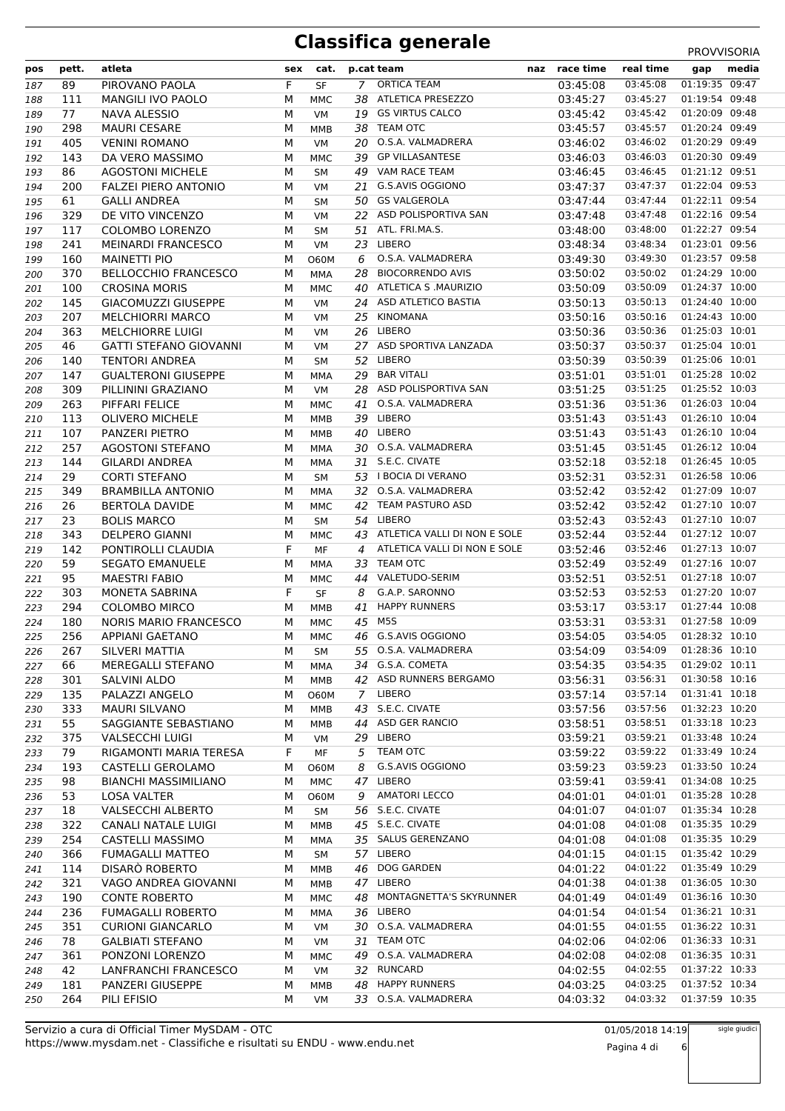| pos | pett. | atleta                        | sex | cat.        |     | p.cat team                      | naz race time                       | real time | gap            | media |
|-----|-------|-------------------------------|-----|-------------|-----|---------------------------------|-------------------------------------|-----------|----------------|-------|
| 187 | 89    | PIROVANO PAOLA                | F   | <b>SF</b>   |     | 7 ORTICA TEAM                   | 03:45:08                            | 03:45:08  | 01:19:35 09:47 |       |
| 188 | 111   | MANGILI IVO PAOLO             | М   | MMC         |     | 38 ATLETICA PRESEZZO            | 03:45:27                            | 03:45:27  | 01:19:54 09:48 |       |
| 189 | 77    | <b>NAVA ALESSIO</b>           | М   | VM          | 19  | <b>GS VIRTUS CALCO</b>          | 03:45:42                            | 03:45:42  | 01:20:09 09:48 |       |
| 190 | 298   | <b>MAURI CESARE</b>           | М   | MMB         |     | 38 TEAM OTC                     | 03:45:57                            | 03:45:57  | 01:20:24 09:49 |       |
| 191 | 405   | <b>VENINI ROMANO</b>          | М   | VM          |     | 20 O.S.A. VALMADRERA            | 03:46:02                            | 03:46:02  | 01:20:29 09:49 |       |
| 192 | 143   | DA VERO MASSIMO               | М   | <b>MMC</b>  | 39  | <b>GP VILLASANTESE</b>          | 03:46:03                            | 03:46:03  | 01:20:30 09:49 |       |
| 193 | 86    | <b>AGOSTONI MICHELE</b>       | М   | SM          | 49  | VAM RACE TEAM                   | 03:46:45                            | 03:46:45  | 01:21:12 09:51 |       |
| 194 | 200   | <b>FALZEI PIERO ANTONIO</b>   | М   | <b>VM</b>   |     | 21 G.S.AVIS OGGIONO             | 03:47:37                            | 03:47:37  | 01:22:04 09:53 |       |
| 195 | 61    | <b>GALLI ANDREA</b>           | М   | SM          | 50  | <b>GS VALGEROLA</b>             | 03:47:44                            | 03:47:44  | 01:22:11 09:54 |       |
| 196 | 329   | DE VITO VINCENZO              | М   | VM          |     | 22 ASD POLISPORTIVA SAN         | 03:47:48                            | 03:47:48  | 01:22:16 09:54 |       |
| 197 | 117   | COLOMBO LORENZO               | М   | SM          |     | 51 ATL. FRI.MA.S.               | 03:48:00                            | 03:48:00  | 01:22:27 09:54 |       |
| 198 | 241   | <b>MEINARDI FRANCESCO</b>     | М   | VM          | 23  | LIBERO                          | 03:48:34                            | 03:48:34  | 01:23:01 09:56 |       |
| 199 | 160   | <b>MAINETTI PIO</b>           | м   | <b>O60M</b> | 6   | O.S.A. VALMADRERA               | 03:49:30                            | 03:49:30  | 01:23:57 09:58 |       |
| 200 | 370   | <b>BELLOCCHIO FRANCESCO</b>   | М   | MMA         | 28. | <b>BIOCORRENDO AVIS</b>         | 03:50:02                            | 03:50:02  | 01:24:29 10:00 |       |
| 201 | 100   | <b>CROSINA MORIS</b>          | М   | MMC         |     | 40 ATLETICA S .MAURIZIO         | 03:50:09                            | 03:50:09  | 01:24:37 10:00 |       |
| 202 | 145   | <b>GIACOMUZZI GIUSEPPE</b>    | М   | VM          |     | 24 ASD ATLETICO BASTIA          | 03:50:13                            | 03:50:13  | 01:24:40 10:00 |       |
|     | 207   | <b>MELCHIORRI MARCO</b>       | М   | <b>VM</b>   | 25  | <b>KINOMANA</b>                 | 03:50:16                            | 03:50:16  | 01:24:43 10:00 |       |
| 203 | 363   | <b>MELCHIORRE LUIGI</b>       | М   | VM          | 26  | LIBERO                          | 03:50:36                            | 03:50:36  | 01:25:03 10:01 |       |
| 204 | 46    | <b>GATTI STEFANO GIOVANNI</b> | М   |             |     | 27 ASD SPORTIVA LANZADA         | 03:50:37                            | 03:50:37  | 01:25:04 10:01 |       |
| 205 |       | <b>TENTORI ANDREA</b>         | М   | VM          |     | 52 LIBERO                       | 03:50:39                            | 03:50:39  | 01:25:06 10:01 |       |
| 206 | 140   |                               |     | SM          |     | <b>BAR VITALI</b>               | 03:51:01                            | 03:51:01  | 01:25:28 10:02 |       |
| 207 | 147   | <b>GUALTERONI GIUSEPPE</b>    | М   | <b>MMA</b>  | 29  | 28 ASD POLISPORTIVA SAN         |                                     |           | 01:25:52 10:03 |       |
| 208 | 309   | PILLININI GRAZIANO            | М   | VM          |     |                                 | 03:51:25                            | 03:51:25  |                |       |
| 209 | 263   | PIFFARI FELICE                | М   | <b>MMC</b>  | 41  | O.S.A. VALMADRERA               | 03:51:36                            | 03:51:36  | 01:26:03 10:04 |       |
| 210 | 113   | <b>OLIVERO MICHELE</b>        | М   | MMB         | 39  | LIBERO                          | 03:51:43                            | 03:51:43  | 01:26:10 10:04 |       |
| 211 | 107   | PANZERI PIETRO                | М   | MMB         |     | 40 LIBERO                       | 03:51:43                            | 03:51:43  | 01:26:10 10:04 |       |
| 212 | 257   | <b>AGOSTONI STEFANO</b>       | М   | MMA         |     | 30 O.S.A. VALMADRERA            | 03:51:45                            | 03:51:45  | 01:26:12 10:04 |       |
| 213 | 144   | <b>GILARDI ANDREA</b>         | М   | MMA         |     | 31 S.E.C. CIVATE                | 03:52:18                            | 03:52:18  | 01:26:45 10:05 |       |
| 214 | 29    | <b>CORTI STEFANO</b>          | М   | SM          |     | 53 I BOCIA DI VERANO            | 03:52:31                            | 03:52:31  | 01:26:58 10:06 |       |
| 215 | 349   | <b>BRAMBILLA ANTONIO</b>      | М   | <b>MMA</b>  |     | 32 O.S.A. VALMADRERA            | 03:52:42                            | 03:52:42  | 01:27:09 10:07 |       |
| 216 | 26    | <b>BERTOLA DAVIDE</b>         | М   | MMC         | 42  | TEAM PASTURO ASD                | 03:52:42                            | 03:52:42  | 01:27:10 10:07 |       |
| 217 | 23    | <b>BOLIS MARCO</b>            | М   | <b>SM</b>   |     | 54 LIBERO                       | 03:52:43                            | 03:52:43  | 01:27:10 10:07 |       |
| 218 | 343   | <b>DELPERO GIANNI</b>         | М   | MMC         |     | 43 ATLETICA VALLI DI NON E SOLE | 03:52:44                            | 03:52:44  | 01:27:12 10:07 |       |
| 219 | 142   | PONTIROLLI CLAUDIA            | F.  | MF          | 4   | ATLETICA VALLI DI NON E SOLE    | 03:52:46                            | 03:52:46  | 01:27:13 10:07 |       |
| 220 | 59    | <b>SEGATO EMANUELE</b>        | М   | MMA         |     | 33 TEAM OTC                     | 03:52:49                            | 03:52:49  | 01:27:16 10:07 |       |
| 221 | 95    | <b>MAESTRI FABIO</b>          | М   | <b>MMC</b>  | 44  | VALETUDO-SERIM                  | 03:52:51                            | 03:52:51  | 01:27:18 10:07 |       |
| 222 | 303   | MONETA SABRINA                | F   | <b>SF</b>   | 8   | G.A.P. SARONNO                  | 03:52:53                            | 03:52:53  | 01:27:20 10:07 |       |
| 223 | 294   | <b>COLOMBO MIRCO</b>          | М   | MMB         | 41  | <b>HAPPY RUNNERS</b>            | 03:53:17                            | 03:53:17  | 01:27:44 10:08 |       |
| 224 | 180   | NORIS MARIO FRANCESCO         | М   | MMC         | 45  | M5S                             | 03:53:31                            | 03:53:31  | 01:27:58 10:09 |       |
| 225 | 256   | <b>APPIANI GAETANO</b>        | М   | MMC         |     | 46 G.S.AVIS OGGIONO             | 03:54:05                            | 03:54:05  | 01:28:32 10:10 |       |
| 226 | 267   | SILVERI MATTIA                | M   | <b>SM</b>   |     | 55 O.S.A. VALMADRERA            | 03:54:09  03:54:09  01:28:36  10:10 |           |                |       |
| 227 | 66    | MEREGALLI STEFANO             | М   | MMA         |     | 34 G.S.A. COMETA                | 03:54:35                            | 03:54:35  | 01:29:02 10:11 |       |
| 228 | 301   | <b>SALVINI ALDO</b>           | М   | MMB         |     | 42 ASD RUNNERS BERGAMO          | 03:56:31                            | 03:56:31  | 01:30:58 10:16 |       |
| 229 | 135   | PALAZZI ANGELO                | м   | O60M        | 7   | LIBERO                          | 03:57:14                            | 03:57:14  | 01:31:41 10:18 |       |
| 230 | 333   | <b>MAURI SILVANO</b>          | м   | MMB         |     | 43 S.E.C. CIVATE                | 03:57:56                            | 03:57:56  | 01:32:23 10:20 |       |
| 231 | 55    | SAGGIANTE SEBASTIANO          | м   | MMB         | 44  | ASD GER RANCIO                  | 03:58:51                            | 03:58:51  | 01:33:18 10:23 |       |
| 232 | 375   | <b>VALSECCHI LUIGI</b>        | М   | VM          |     | 29 LIBERO                       | 03:59:21                            | 03:59:21  | 01:33:48 10:24 |       |
| 233 | 79    | RIGAMONTI MARIA TERESA        | F.  | МF          | 5   | TEAM OTC                        | 03:59:22                            | 03:59:22  | 01:33:49 10:24 |       |
| 234 | 193   | CASTELLI GEROLAMO             | М   | 060M        | 8   | G.S.AVIS OGGIONO                | 03:59:23                            | 03:59:23  | 01:33:50 10:24 |       |
| 235 | 98    | <b>BIANCHI MASSIMILIANO</b>   | М   | MMC         |     | 47 LIBERO                       | 03:59:41                            | 03:59:41  | 01:34:08 10:25 |       |
| 236 | 53    | LOSA VALTER                   | М   | 060M        | 9   | <b>AMATORI LECCO</b>            | 04:01:01                            | 04:01:01  | 01:35:28 10:28 |       |
| 237 | 18    | <b>VALSECCHI ALBERTO</b>      | М   | SM          |     | 56 S.E.C. CIVATE                | 04:01:07                            | 04:01:07  | 01:35:34 10:28 |       |
| 238 | 322   | CANALI NATALE LUIGI           | М   | MMB         |     | 45 S.E.C. CIVATE                | 04:01:08                            | 04:01:08  | 01:35:35 10:29 |       |
| 239 | 254   | <b>CASTELLI MASSIMO</b>       | М   | MMA         |     | 35 SALUS GERENZANO              | 04:01:08                            | 04:01:08  | 01:35:35 10:29 |       |
| 240 | 366   | <b>FUMAGALLI MATTEO</b>       | М   | SM          |     | 57 LIBERO                       | 04:01:15                            | 04:01:15  | 01:35:42 10:29 |       |
| 241 | 114   | <b>DISARO ROBERTO</b>         | М   | MMB         |     | 46 DOG GARDEN                   | 04:01:22                            | 04:01:22  | 01:35:49 10:29 |       |
| 242 | 321   | VAGO ANDREA GIOVANNI          | М   | MMB         |     | 47 LIBERO                       | 04:01:38                            | 04:01:38  | 01:36:05 10:30 |       |
| 243 | 190   | <b>CONTE ROBERTO</b>          | М   | MMC         | 48  | MONTAGNETTA'S SKYRUNNER         | 04:01:49                            | 04:01:49  | 01:36:16 10:30 |       |
| 244 | 236   | <b>FUMAGALLI ROBERTO</b>      | М   | MMA         | 36  | LIBERO                          | 04:01:54                            | 04:01:54  | 01:36:21 10:31 |       |
| 245 | 351   | <b>CURIONI GIANCARLO</b>      | М   | VM          | 30  | O.S.A. VALMADRERA               | 04:01:55                            | 04:01:55  | 01:36:22 10:31 |       |
| 246 | 78    | <b>GALBIATI STEFANO</b>       | М   | VM          | 31  | TEAM OTC                        | 04:02:06                            | 04:02:06  | 01:36:33 10:31 |       |
| 247 | 361   | PONZONI LORENZO               | М   | MMC         | 49  | O.S.A. VALMADRERA               | 04:02:08                            | 04:02:08  | 01:36:35 10:31 |       |
| 248 | 42    | LANFRANCHI FRANCESCO          | М   | VM          |     | 32 RUNCARD                      | 04:02:55                            | 04:02:55  | 01:37:22 10:33 |       |
| 249 | 181   | <b>PANZERI GIUSEPPE</b>       | М   | MMB         | 48  | <b>HAPPY RUNNERS</b>            | 04:03:25                            | 04:03:25  | 01:37:52 10:34 |       |
| 250 | 264   | PILI EFISIO                   | М   | VM          |     | 33 O.S.A. VALMADRERA            | 04:03:32                            | 04:03:32  | 01:37:59 10:35 |       |

Pagina 4 di 6

sigle giudici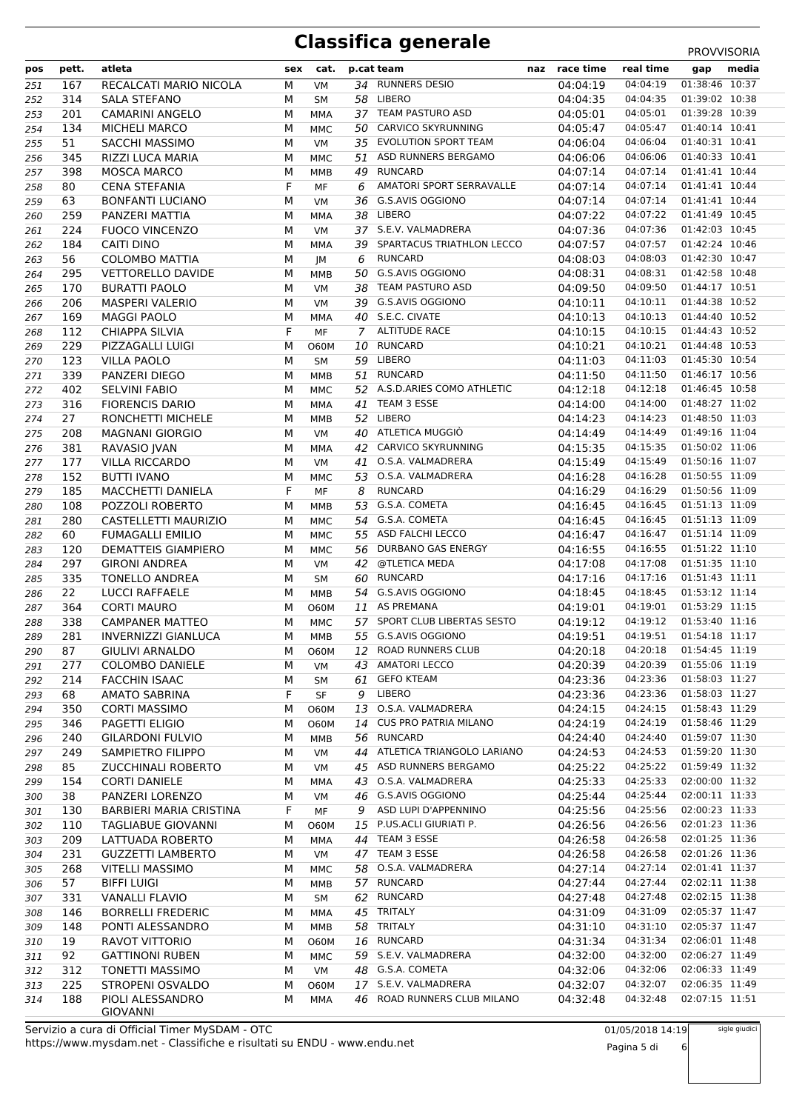| pos | pett. | atleta                              | sex | cat.        |                | p.cat team                                                   | naz | race time | real time | gap            | media |
|-----|-------|-------------------------------------|-----|-------------|----------------|--------------------------------------------------------------|-----|-----------|-----------|----------------|-------|
| 251 | 167   | RECALCATI MARIO NICOLA              | М   | VM          |                | 34 RUNNERS DESIO                                             |     | 04:04:19  | 04:04:19  | 01:38:46 10:37 |       |
| 252 | 314   | <b>SALA STEFANO</b>                 | М   | <b>SM</b>   |                | 58 LIBERO                                                    |     | 04:04:35  | 04:04:35  | 01:39:02 10:38 |       |
| 253 | 201   | <b>CAMARINI ANGELO</b>              | М   | MMA         | 37             | TEAM PASTURO ASD                                             |     | 04:05:01  | 04:05:01  | 01:39:28 10:39 |       |
| 254 | 134   | <b>MICHELI MARCO</b>                | М   | <b>MMC</b>  | 50             | CARVICO SKYRUNNING                                           |     | 04:05:47  | 04:05:47  | 01:40:14 10:41 |       |
| 255 | 51    | <b>SACCHI MASSIMO</b>               | М   | VM          | 35             | <b>EVOLUTION SPORT TEAM</b>                                  |     | 04:06:04  | 04:06:04  | 01:40:31 10:41 |       |
| 256 | 345   | RIZZI LUCA MARIA                    | М   | <b>MMC</b>  | 51             | ASD RUNNERS BERGAMO                                          |     | 04:06:06  | 04:06:06  | 01:40:33 10:41 |       |
| 257 | 398   | <b>MOSCA MARCO</b>                  | М   | MMB         | 49             | <b>RUNCARD</b>                                               |     | 04:07:14  | 04:07:14  | 01:41:41 10:44 |       |
| 258 | 80    | <b>CENA STEFANIA</b>                | F   | MF          | 6              | AMATORI SPORT SERRAVALLE                                     |     | 04:07:14  | 04:07:14  | 01:41:41 10:44 |       |
| 259 | 63    | <b>BONFANTI LUCIANO</b>             | M   | VM          | 36             | G.S.AVIS OGGIONO                                             |     | 04:07:14  | 04:07:14  | 01:41:41 10:44 |       |
| 260 | 259   | PANZERI MATTIA                      | М   | MMA         |                | 38 LIBERO                                                    |     | 04:07:22  | 04:07:22  | 01:41:49 10:45 |       |
| 261 | 224   | <b>FUOCO VINCENZO</b>               | M   | VM          |                | 37 S.E.V. VALMADRERA                                         |     | 04:07:36  | 04:07:36  | 01:42:03 10:45 |       |
| 262 | 184   | <b>CAITI DINO</b>                   | М   | MMA         | 39             | SPARTACUS TRIATHLON LECCO                                    |     | 04:07:57  | 04:07:57  | 01:42:24 10:46 |       |
| 263 | 56    | COLOMBO MATTIA                      | М   | JM          | 6              | <b>RUNCARD</b>                                               |     | 04:08:03  | 04:08:03  | 01:42:30 10:47 |       |
| 264 | 295   | <b>VETTORELLO DAVIDE</b>            | М   | MMB         |                | 50 G.S.AVIS OGGIONO                                          |     | 04:08:31  | 04:08:31  | 01:42:58 10:48 |       |
| 265 | 170   | <b>BURATTI PAOLO</b>                | M   | VM          | 38             | TEAM PASTURO ASD                                             |     | 04:09:50  | 04:09:50  | 01:44:17 10:51 |       |
| 266 | 206   | <b>MASPERI VALERIO</b>              | М   | VM          |                | 39 G.S.AVIS OGGIONO                                          |     | 04:10:11  | 04:10:11  | 01:44:38 10:52 |       |
| 267 | 169   | <b>MAGGI PAOLO</b>                  | М   | MMA         |                | 40 S.E.C. CIVATE                                             |     | 04:10:13  | 04:10:13  | 01:44:40 10:52 |       |
| 268 | 112   | <b>CHIAPPA SILVIA</b>               | F   | MF          | $\overline{7}$ | <b>ALTITUDE RACE</b>                                         |     | 04:10:15  | 04:10:15  | 01:44:43 10:52 |       |
| 269 | 229   | PIZZAGALLI LUIGI                    | М   | <b>O60M</b> | 10             | <b>RUNCARD</b>                                               |     | 04:10:21  | 04:10:21  | 01:44:48 10:53 |       |
| 270 | 123   | <b>VILLA PAOLO</b>                  | М   | <b>SM</b>   | 59             | LIBERO                                                       |     | 04:11:03  | 04:11:03  | 01:45:30 10:54 |       |
| 271 | 339   | PANZERI DIEGO                       | М   | MMB         | 51             | RUNCARD                                                      |     | 04:11:50  | 04:11:50  | 01:46:17 10:56 |       |
| 272 | 402   | <b>SELVINI FABIO</b>                | М   | MMC         |                | 52 A.S.D.ARIES COMO ATHLETIC                                 |     | 04:12:18  | 04:12:18  | 01:46:45 10:58 |       |
| 273 | 316   | <b>FIORENCIS DARIO</b>              | M   | MMA         | 41             | TEAM 3 ESSE                                                  |     | 04:14:00  | 04:14:00  | 01:48:27 11:02 |       |
| 274 | 27    | RONCHETTI MICHELE                   | М   | MMB         | 52             | LIBERO                                                       |     | 04:14:23  | 04:14:23  | 01:48:50 11:03 |       |
| 275 | 208   | <b>MAGNANI GIORGIO</b>              | М   | VM          |                | 40 ATLETICA MUGGIÒ                                           |     | 04:14:49  | 04:14:49  | 01:49:16 11:04 |       |
| 276 | 381   | RAVASIO JVAN                        | М   | MMA         | 42             | CARVICO SKYRUNNING                                           |     | 04:15:35  | 04:15:35  | 01:50:02 11:06 |       |
| 277 | 177   | <b>VILLA RICCARDO</b>               | М   | VM          | 41             | O.S.A. VALMADRERA                                            |     | 04:15:49  | 04:15:49  | 01:50:16 11:07 |       |
| 278 | 152   | <b>BUTTI IVANO</b>                  | М   | MMC         |                | 53 O.S.A. VALMADRERA                                         |     | 04:16:28  | 04:16:28  | 01:50:55 11:09 |       |
| 279 | 185   | <b>MACCHETTI DANIELA</b>            | F   | MF          | 8              | <b>RUNCARD</b>                                               |     | 04:16:29  | 04:16:29  | 01:50:56 11:09 |       |
| 280 | 108   | POZZOLI ROBERTO                     | M   | MMB         | 53             | G.S.A. COMETA                                                |     | 04:16:45  | 04:16:45  | 01:51:13 11:09 |       |
| 281 | 280   | CASTELLETTI MAURIZIO                | М   | MMC         |                | 54 G.S.A. COMETA                                             |     | 04:16:45  | 04:16:45  | 01:51:13 11:09 |       |
| 282 | 60    | <b>FUMAGALLI EMILIO</b>             | М   | <b>MMC</b>  | 55             | ASD FALCHI LECCO                                             |     | 04:16:47  | 04:16:47  | 01:51:14 11:09 |       |
| 283 | 120   | <b>DEMATTEIS GIAMPIERO</b>          | М   | MMC         | 56             | DURBANO GAS ENERGY                                           |     | 04:16:55  | 04:16:55  | 01:51:22 11:10 |       |
| 284 | 297   | <b>GIRONI ANDREA</b>                | М   | VM          | 42             | @TLETICA MEDA                                                |     | 04:17:08  | 04:17:08  | 01:51:35 11:10 |       |
| 285 | 335   | TONELLO ANDREA                      | М   | <b>SM</b>   | 60             | <b>RUNCARD</b>                                               |     | 04:17:16  | 04:17:16  | 01:51:43 11:11 |       |
| 286 | 22    | <b>LUCCI RAFFAELE</b>               | М   | MMB         | 54             | G.S.AVIS OGGIONO                                             |     | 04:18:45  | 04:18:45  | 01:53:12 11:14 |       |
| 287 | 364   | <b>CORTI MAURO</b>                  | М   | <b>O60M</b> |                | 11 AS PREMANA                                                |     | 04:19:01  | 04:19:01  | 01:53:29 11:15 |       |
| 288 | 338   | <b>CAMPANER MATTEO</b>              | М   | MMC         |                | 57 SPORT CLUB LIBERTAS SESTO                                 |     | 04:19:12  | 04:19:12  | 01:53:40 11:16 |       |
| 289 | 281   | <b>INVERNIZZI GIANLUCA</b>          | М   | MMB         |                | 55 G.S.AVIS OGGIONO                                          |     | 04:19:51  | 04:19:51  | 01:54:18 11:17 |       |
| 290 | 87    | <b>GIULIVI ARNALDO</b>              |     |             |                | M O60M 12 ROAD RUNNERS CLUB 04:20:18 04:20:18 01:54:45 11:19 |     |           |           |                |       |
| 291 | 277   | <b>COLOMBO DANIELE</b>              | М   | VM          |                | 43 AMATORI LECCO                                             |     | 04:20:39  | 04:20:39  | 01:55:06 11:19 |       |
| 292 | 214   | <b>FACCHIN ISAAC</b>                | м   | SM          | 61             | <b>GEFO KTEAM</b>                                            |     | 04:23:36  | 04:23:36  | 01:58:03 11:27 |       |
| 293 | 68    | AMATO SABRINA                       | F   | SF          | 9              | LIBERO                                                       |     | 04:23:36  | 04:23:36  | 01:58:03 11:27 |       |
| 294 | 350   | <b>CORTI MASSIMO</b>                | М   | 060M        | 13             | O.S.A. VALMADRERA                                            |     | 04:24:15  | 04:24:15  | 01:58:43 11:29 |       |
| 295 | 346   | PAGETTI ELIGIO                      | М   | 060M        | 14             | <b>CUS PRO PATRIA MILANO</b>                                 |     | 04:24:19  | 04:24:19  | 01:58:46 11:29 |       |
| 296 | 240   | <b>GILARDONI FULVIO</b>             | м   | MMB         |                | 56 RUNCARD                                                   |     | 04:24:40  | 04:24:40  | 01:59:07 11:30 |       |
| 297 | 249   | SAMPIETRO FILIPPO                   | М   | VM          | 44             | ATLETICA TRIANGOLO LARIANO                                   |     | 04:24:53  | 04:24:53  | 01:59:20 11:30 |       |
| 298 | 85    | <b>ZUCCHINALI ROBERTO</b>           | М   | VM          | 45             | ASD RUNNERS BERGAMO                                          |     | 04:25:22  | 04:25:22  | 01:59:49 11:32 |       |
| 299 | 154   | <b>CORTI DANIELE</b>                | М   | MMA         | 43             | O.S.A. VALMADRERA                                            |     | 04:25:33  | 04:25:33  | 02:00:00 11:32 |       |
| 300 | 38    | PANZERI LORENZO                     | М   | VM          | 46             | G.S.AVIS OGGIONO                                             |     | 04:25:44  | 04:25:44  | 02:00:11 11:33 |       |
| 301 | 130   | <b>BARBIERI MARIA CRISTINA</b>      | F.  | МF          | 9              | ASD LUPI D'APPENNINO                                         |     | 04:25:56  | 04:25:56  | 02:00:23 11:33 |       |
| 302 | 110   | TAGLIABUE GIOVANNI                  | М   | 060M        |                | 15 P.US.ACLI GIURIATI P.                                     |     | 04:26:56  | 04:26:56  | 02:01:23 11:36 |       |
| 303 | 209   | LATTUADA ROBERTO                    | м   | MMA         | 44             | TEAM 3 ESSE                                                  |     | 04:26:58  | 04:26:58  | 02:01:25 11:36 |       |
| 304 | 231   | <b>GUZZETTI LAMBERTO</b>            | М   | VM          | 47             | TEAM 3 ESSE                                                  |     | 04:26:58  | 04:26:58  | 02:01:26 11:36 |       |
| 305 | 268   | <b>VITELLI MASSIMO</b>              | М   | MMC         |                | 58 O.S.A. VALMADRERA                                         |     | 04:27:14  | 04:27:14  | 02:01:41 11:37 |       |
| 306 | 57    | <b>BIFFI LUIGI</b>                  | М   | MMB         |                | 57 RUNCARD                                                   |     | 04:27:44  | 04:27:44  | 02:02:11 11:38 |       |
| 307 | 331   | <b>VANALLI FLAVIO</b>               | М   | SM          | 62             | RUNCARD                                                      |     | 04:27:48  | 04:27:48  | 02:02:15 11:38 |       |
| 308 | 146   | <b>BORRELLI FREDERIC</b>            | М   | MMA         | 45             | TRITALY                                                      |     | 04:31:09  | 04:31:09  | 02:05:37 11:47 |       |
| 309 | 148   | PONTI ALESSANDRO                    | М   | MMB         | 58             | TRITALY                                                      |     | 04:31:10  | 04:31:10  | 02:05:37 11:47 |       |
| 310 | 19    | RAVOT VITTORIO                      | М   | O60M        | 16             | RUNCARD                                                      |     | 04:31:34  | 04:31:34  | 02:06:01 11:48 |       |
| 311 | 92    | <b>GATTINONI RUBEN</b>              | М   | MMC         |                | 59 S.E.V. VALMADRERA                                         |     | 04:32:00  | 04:32:00  | 02:06:27 11:49 |       |
| 312 | 312   | <b>TONETTI MASSIMO</b>              | М   | VM          | 48             | G.S.A. COMETA                                                |     | 04:32:06  | 04:32:06  | 02:06:33 11:49 |       |
| 313 | 225   | STROPENI OSVALDO                    | М   | O60M        | 17             | S.E.V. VALMADRERA                                            |     | 04:32:07  | 04:32:07  | 02:06:35 11:49 |       |
| 314 | 188   | PIOLI ALESSANDRO<br><b>GIOVANNI</b> | М   | MMA         | 46             | ROAD RUNNERS CLUB MILANO                                     |     | 04:32:48  | 04:32:48  | 02:07:15 11:51 |       |

Pagina 5 di 6

sigle giudici